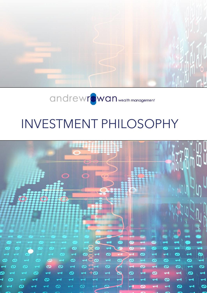

# INVESTMENT PHILOSOPHY

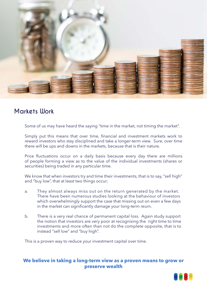

# **Markets Work**

Some of us may have heard the saying "time in the market, not timing the market".

Simply put this means that over time, financial and investment markets work to reward investors who stay disciplined and take a longer-term view. Sure, over time there will be ups and downs in the markets, because that is their nature.

Price fluctuations occur on a daily basis because every day there are millions of people forming a view as to the value of the individual investments (shares or securities) being traded in any particular time.

We know that when investors try and time their investments, that is to say, "sell high" and "buy low", that at least two things occur;

- a. They almost always miss out on the return generated by the market. There have been numerous studies looking at the behaviour of investors which overwhelmingly support the case that missing out on even a few days in the market can significantly damage your long-term reurn.
- b. There is a very real chance of permanent capital loss. Again study support the notion that investors are very poor at recognising the right time to time investments and more often than not do the complete opposite, that is to instead "sell low" and "buy high".

This is a proven way to reduce your investment capital over time.

#### **We believe in taking a long-term view as a proven means to grow or preserve wealth**

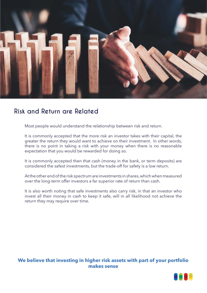

## **Risk and Return are Related**

Most people would understand the relationship between risk and return.

It is commonly accepted that the more risk an investor takes with their capital, the greater the return they would want to achieve on their investment. In other words, there is no point in taking a risk with your money when there is no reasonable expectation that you would be rewarded for doing so.

It is commonly accepted then that cash (money in the bank, or term deposits) are considered the safest investments, but the trade-off for safety is a low return.

At the other end of the risk spectrum are investments in shares, which when measured over the long-term offer investors a far superior rate of return than cash.

It is also worth noting that safe investments also carry risk, in that an investor who invest all their money in cash to keep it safe, will in all likelihood not achieve the return they may require over time.

#### **We believe that investing in higher risk assets with part of your portfolio makes sense**

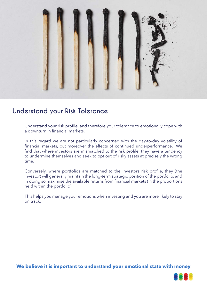

# **Understand your Risk Tolerance**

Understand your risk profile, and therefore your tolerance to emotionally cope with a downturn in financial markets.

In this regard we are not particularly concerned with the day-to-day volatility of financial markets, but moreover the effects of continued underperformance. We find that where investors are mismatched to the risk profile, they have a tendency to undermine themselves and seek to opt out of risky assets at precisely the wrong time.

Conversely, where portfolios are matched to the investors risk profile, they (the investor) will generally maintain the long-term strategic position of the portfolio, and in doing so maximise the available returns from financial markets (in the proportions held within the portfolio).

This helps you manage your emotions when investing and you are more likely to stay on track.

**We believe it is important to understand your emotional state with money**

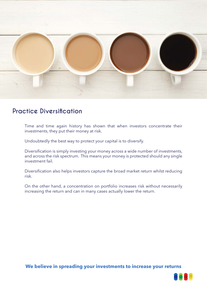

# **Practice Diversification**

Time and time again history has shown that when investors concentrate their investments, they put their money at risk.

Undoubtedly the best way to protect your capital is to diversify.

Diversification is simply investing your money across a wide number of investments, and across the risk spectrum. This means your money is protected should any single investment fail.

Diversification also helps investors capture the broad market return whilst reducing risk.

On the other hand, a concentration on portfolio increases risk without necessarily increasing the return and can in many cases actually lower the return.

**We believe in spreading your investments to increase your returns**

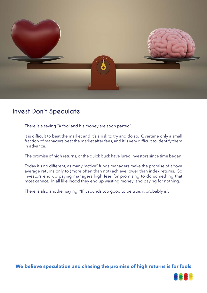

# **Invest Don't Speculate**

There is a saying "A fool and his money are soon parted".

It is difficult to beat the market and it's a risk to try and do so. Overtime only a small fraction of managers beat the market after fees, and it is very difficult to identify them in advance.

The promise of high returns, or the quick buck have lured investors since time began.

Today it's no different, as many "active" funds managers make the promise of above average returns only to (more often than not) achieve lower than index returns. So investors end up paying managers high fees for promising to do something that most cannot. In all likelihood they end up wasting money, and paying for nothing.

There is also another saying, "If it sounds too good to be true, it probably is".

**We believe speculation and chasing the promise of high returns is for fools**

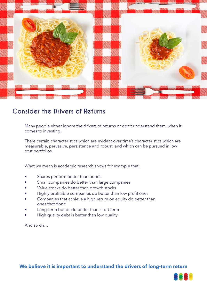

# **Consider the Drivers of Returns**

Many people either ignore the drivers of returns or don't understand them, when it comes to investing.

There certain characteristics which are evident over time's characteristics which are measurable, pervasive, persistence and robust, and which can be pursued in low cost portfolios.

What we mean is academic research shows for example that;

- Shares perform better than bonds
- Small companies do better than large companies
- Value stocks do better than growth stocks
- Highly profitable companies do better than low profit ones
- Companies that achieve a high return on equity do better than ones that don't
- Long-term bonds do better than short term
- High quality debt is better than low quality

And so on…

### **We believe it is important to understand the drivers of long-term return**

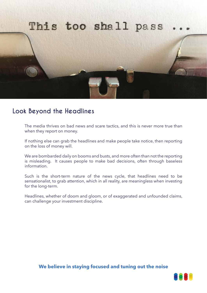

## **Look Beyond the Headlines**

The media thrives on bad news and scare tactics, and this is never more true than when they report on money.

If nothing else can grab the headlines and make people take notice, then reporting on the loss of money will.

We are bombarded daily on booms and busts, and more often than not the reporting is misleading. It causes people to make bad decisions, often through baseless information.

Such is the short-term nature of the news cycle, that headlines need to be sensationalist, to grab attention, which in all reality, are meaningless when investing for the long-term.

Headlines, whether of doom and gloom, or of exaggerated and unfounded claims, can challenge your investment discipline.

**We believe in staying focused and tuning out the noise**

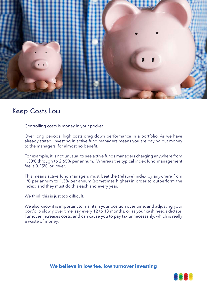

# **Keep Costs Low**

Controlling costs is money in your pocket.

Over long periods, high costs drag down performance in a portfolio. As we have already stated, investing in active fund managers means you are paying out money to the managers, for almost no benefit.

For example, it is not unusual to see active funds managers charging anywhere from 1.30% through to 2.65% per annum. Whereas the typical index fund management fee is 0.25%, or lower.

This means active fund managers must beat the (relative) index by anywhere from 1% per annum to 1.3% per annum (sometimes higher) in order to outperform the index; and they must do this each and every year.

We think this is just too difficult.

We also know it is important to maintain your position over time, and adjusting your portfolio slowly over time, say every 12 to 18 months, or as your cash needs dictate. Turnover increases costs, and can cause you to pay tax unnecessarily, which is really a waste of money.

#### **We believe in low fee, low turnover investing**

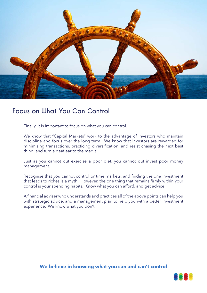

# **Focus on What You Can Control**

Finally, it is important to focus on what you can control.

We know that "Capital Markets" work to the advantage of investors who maintain discipline and focus over the long term. We know that investors are rewarded for minimising transactions, practicing diversification, and resist chasing the next best thing, and turn a deaf ear to the media.

Just as you cannot out exercise a poor diet, you cannot out invest poor money management.

Recognise that you cannot control or time markets, and finding the one investment that leads to riches is a myth. However, the one thing that remains firmly within your control is your spending habits. Know what you can afford, and get advice.

A financial adviser who understands and practices all of the above points can help you with strategic advice, and a management plan to help you with a better investment experience. We know what you don't.

### **We believe in knowing what you can and can't control**